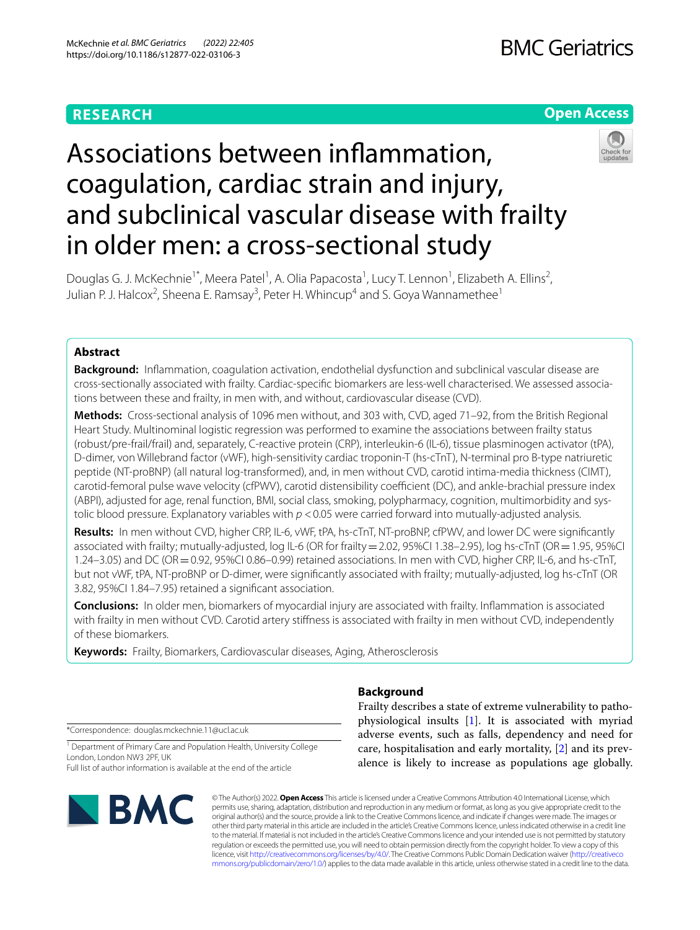# **RESEARCH**

# **Open Access**



# Associations between infammation, coagulation, cardiac strain and injury, and subclinical vascular disease with frailty in older men: a cross-sectional study

Douglas G. J. McKechnie<sup>1\*</sup>, Meera Patel<sup>1</sup>, A. Olia Papacosta<sup>1</sup>, Lucy T. Lennon<sup>1</sup>, Elizabeth A. Ellins<sup>2</sup>, Julian P. J. Halcox<sup>2</sup>, Sheena E. Ramsay<sup>3</sup>, Peter H. Whincup<sup>4</sup> and S. Goya Wannamethee<sup>1</sup>

# **Abstract**

**Background:** Infammation, coagulation activation, endothelial dysfunction and subclinical vascular disease are cross-sectionally associated with frailty. Cardiac-specifc biomarkers are less-well characterised. We assessed associations between these and frailty, in men with, and without, cardiovascular disease (CVD).

**Methods:** Cross-sectional analysis of 1096 men without, and 303 with, CVD, aged 71–92, from the British Regional Heart Study. Multinominal logistic regression was performed to examine the associations between frailty status (robust/pre-frail/frail) and, separately, C-reactive protein (CRP), interleukin-6 (IL-6), tissue plasminogen activator (tPA), D-dimer, von Willebrand factor (vWF), high-sensitivity cardiac troponin-T (hs-cTnT), N-terminal pro B-type natriuretic peptide (NT-proBNP) (all natural log-transformed), and, in men without CVD, carotid intima-media thickness (CIMT), carotid-femoral pulse wave velocity (cfPWV), carotid distensibility coefficient (DC), and ankle-brachial pressure index (ABPI), adjusted for age, renal function, BMI, social class, smoking, polypharmacy, cognition, multimorbidity and systolic blood pressure. Explanatory variables with  $p < 0.05$  were carried forward into mutually-adjusted analysis.

**Results:** In men without CVD, higher CRP, IL-6, vWF, tPA, hs-cTnT, NT-proBNP, cfPWV, and lower DC were signifcantly associated with frailty; mutually-adjusted, log IL-6 (OR for frailty=2.02, 95%CI 1.38–2.95), log hs-cTnT (OR=1.95, 95%CI 1.24–3.05) and DC (OR=0.92, 95%CI 0.86–0.99) retained associations. In men with CVD, higher CRP, IL-6, and hs-cTnT, but not vWF, tPA, NT-proBNP or D-dimer, were signifcantly associated with frailty; mutually-adjusted, log hs-cTnT (OR 3.82, 95%CI 1.84–7.95) retained a signifcant association.

**Conclusions:** In older men, biomarkers of myocardial injury are associated with frailty. Infammation is associated with frailty in men without CVD. Carotid artery stiffness is associated with frailty in men without CVD, independently of these biomarkers.

**Keywords:** Frailty, Biomarkers, Cardiovascular diseases, Aging, Atherosclerosis

# **Background**

\*Correspondence: douglas.mckechnie.11@ucl.ac.uk

<sup>1</sup> Department of Primary Care and Population Health, University College London, London NW3 2PF, UK

Full list of author information is available at the end of the article



© The Author(s) 2022. **Open Access** This article is licensed under a Creative Commons Attribution 4.0 International License, which permits use, sharing, adaptation, distribution and reproduction in any medium or format, as long as you give appropriate credit to the original author(s) and the source, provide a link to the Creative Commons licence, and indicate if changes were made. The images or other third party material in this article are included in the article's Creative Commons licence, unless indicated otherwise in a credit line to the material. If material is not included in the article's Creative Commons licence and your intended use is not permitted by statutory regulation or exceeds the permitted use, you will need to obtain permission directly from the copyright holder. To view a copy of this licence, visit [http://creativecommons.org/licenses/by/4.0/.](http://creativecommons.org/licenses/by/4.0/) The Creative Commons Public Domain Dedication waiver ([http://creativeco](http://creativecommons.org/publicdomain/zero/1.0/) [mmons.org/publicdomain/zero/1.0/](http://creativecommons.org/publicdomain/zero/1.0/)) applies to the data made available in this article, unless otherwise stated in a credit line to the data.

Frailty describes a state of extreme vulnerability to pathophysiological insults [\[1\]](#page-10-0). It is associated with myriad adverse events, such as falls, dependency and need for care, hospitalisation and early mortality, [\[2](#page-10-1)] and its prevalence is likely to increase as populations age globally.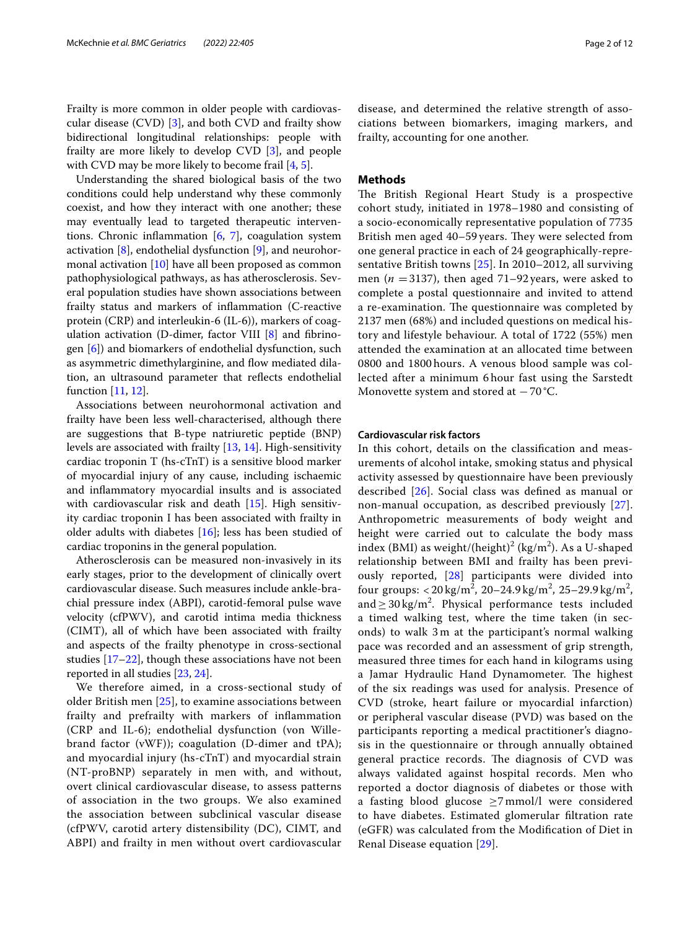Frailty is more common in older people with cardiovascular disease  $(CVD)$  [\[3](#page-10-2)], and both  $CVD$  and frailty show bidirectional longitudinal relationships: people with frailty are more likely to develop CVD [\[3](#page-10-2)], and people with CVD may be more likely to become frail [[4,](#page-10-3) [5](#page-10-4)].

Understanding the shared biological basis of the two conditions could help understand why these commonly coexist, and how they interact with one another; these may eventually lead to targeted therapeutic interventions. Chronic infammation [\[6](#page-10-5), [7\]](#page-10-6), coagulation system activation  $[8]$  $[8]$ , endothelial dysfunction  $[9]$  $[9]$ , and neurohormonal activation [\[10\]](#page-10-9) have all been proposed as common pathophysiological pathways, as has atherosclerosis. Several population studies have shown associations between frailty status and markers of infammation (C-reactive protein (CRP) and interleukin-6 (IL-6)), markers of coagulation activation (D-dimer, factor VIII  $[8]$  $[8]$  $[8]$  and fibrinogen [\[6](#page-10-5)]) and biomarkers of endothelial dysfunction, such as asymmetric dimethylarginine, and flow mediated dilation, an ultrasound parameter that refects endothelial function [\[11,](#page-10-10) [12](#page-11-0)].

Associations between neurohormonal activation and frailty have been less well-characterised, although there are suggestions that B-type natriuretic peptide (BNP) levels are associated with frailty [[13,](#page-11-1) [14](#page-11-2)]. High-sensitivity cardiac troponin T (hs-cTnT) is a sensitive blood marker of myocardial injury of any cause, including ischaemic and infammatory myocardial insults and is associated with cardiovascular risk and death [\[15\]](#page-11-3). High sensitivity cardiac troponin I has been associated with frailty in older adults with diabetes [[16](#page-11-4)]; less has been studied of cardiac troponins in the general population.

Atherosclerosis can be measured non-invasively in its early stages, prior to the development of clinically overt cardiovascular disease. Such measures include ankle-brachial pressure index (ABPI), carotid-femoral pulse wave velocity (cfPWV), and carotid intima media thickness (CIMT), all of which have been associated with frailty and aspects of the frailty phenotype in cross-sectional studies [\[17–](#page-11-5)[22\]](#page-11-6), though these associations have not been reported in all studies [[23,](#page-11-7) [24](#page-11-8)].

We therefore aimed, in a cross-sectional study of older British men [[25\]](#page-11-9), to examine associations between frailty and prefrailty with markers of infammation (CRP and IL-6); endothelial dysfunction (von Willebrand factor (vWF)); coagulation (D-dimer and tPA); and myocardial injury (hs-cTnT) and myocardial strain (NT-proBNP) separately in men with, and without, overt clinical cardiovascular disease, to assess patterns of association in the two groups. We also examined the association between subclinical vascular disease (cfPWV, carotid artery distensibility (DC), CIMT, and ABPI) and frailty in men without overt cardiovascular disease, and determined the relative strength of associations between biomarkers, imaging markers, and frailty, accounting for one another.

# **Methods**

The British Regional Heart Study is a prospective cohort study, initiated in 1978–1980 and consisting of a socio-economically representative population of 7735 British men aged 40–59 years. They were selected from one general practice in each of 24 geographically-representative British towns [\[25](#page-11-9)]. In 2010–2012, all surviving men ( $n = 3137$ ), then aged 71–92 years, were asked to complete a postal questionnaire and invited to attend a re-examination. The questionnaire was completed by 2137 men (68%) and included questions on medical history and lifestyle behaviour. A total of 1722 (55%) men attended the examination at an allocated time between 0800 and 1800 hours. A venous blood sample was collected after a minimum 6 hour fast using the Sarstedt Monovette system and stored at  $-70$  °C.

# **Cardiovascular risk factors**

In this cohort, details on the classifcation and measurements of alcohol intake, smoking status and physical activity assessed by questionnaire have been previously described [[26](#page-11-10)]. Social class was defned as manual or non-manual occupation, as described previously [[27](#page-11-11)]. Anthropometric measurements of body weight and height were carried out to calculate the body mass index (BMI) as weight/(height)<sup>2</sup> (kg/m<sup>2</sup>). As a U-shaped relationship between BMI and frailty has been previously reported, [[28\]](#page-11-12) participants were divided into four groups:  $< 20 \text{ kg/m}^2$ ,  $20 - 24.9 \text{ kg/m}^2$ ,  $25 - 29.9 \text{ kg/m}^2$ , and  $\geq$  30 kg/m<sup>2</sup>. Physical performance tests included a timed walking test, where the time taken (in seconds) to walk 3 m at the participant's normal walking pace was recorded and an assessment of grip strength, measured three times for each hand in kilograms using a Jamar Hydraulic Hand Dynamometer. The highest of the six readings was used for analysis. Presence of CVD (stroke, heart failure or myocardial infarction) or peripheral vascular disease (PVD) was based on the participants reporting a medical practitioner's diagnosis in the questionnaire or through annually obtained general practice records. The diagnosis of CVD was always validated against hospital records. Men who reported a doctor diagnosis of diabetes or those with a fasting blood glucose  $\geq$ 7 mmol/l were considered to have diabetes. Estimated glomerular fltration rate (eGFR) was calculated from the Modifcation of Diet in Renal Disease equation [\[29](#page-11-13)].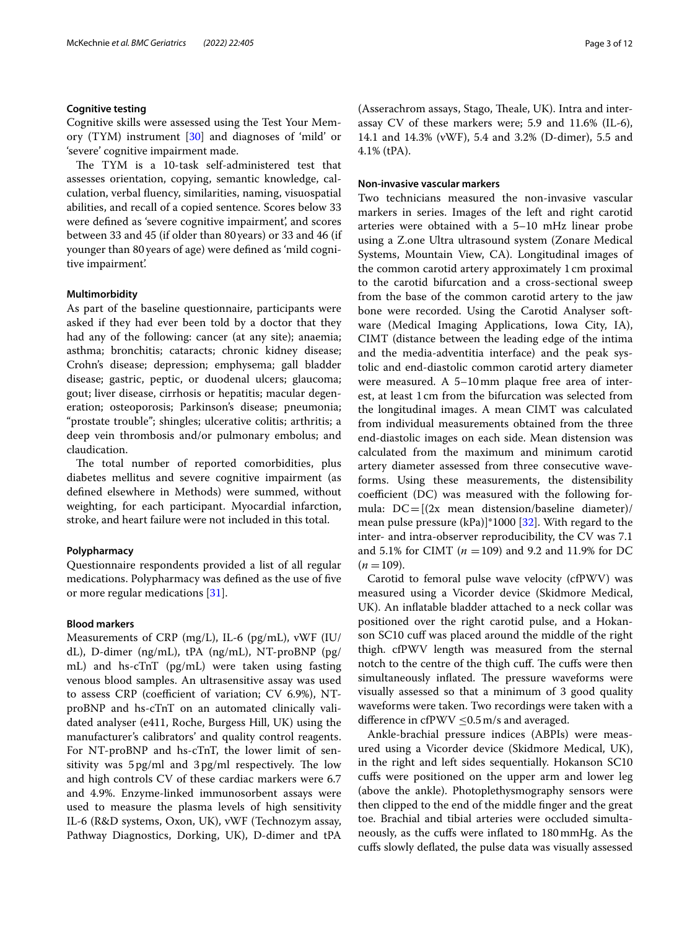#### **Cognitive testing**

Cognitive skills were assessed using the Test Your Memory (TYM) instrument [[30\]](#page-11-14) and diagnoses of 'mild' or 'severe' cognitive impairment made.

The TYM is a 10-task self-administered test that assesses orientation, copying, semantic knowledge, calculation, verbal fuency, similarities, naming, visuospatial abilities, and recall of a copied sentence. Scores below 33 were defned as 'severe cognitive impairment', and scores between 33 and 45 (if older than 80years) or 33 and 46 (if younger than 80years of age) were defned as 'mild cognitive impairment'.

#### **Multimorbidity**

As part of the baseline questionnaire, participants were asked if they had ever been told by a doctor that they had any of the following: cancer (at any site); anaemia; asthma; bronchitis; cataracts; chronic kidney disease; Crohn's disease; depression; emphysema; gall bladder disease; gastric, peptic, or duodenal ulcers; glaucoma; gout; liver disease, cirrhosis or hepatitis; macular degeneration; osteoporosis; Parkinson's disease; pneumonia; "prostate trouble"; shingles; ulcerative colitis; arthritis; a deep vein thrombosis and/or pulmonary embolus; and claudication.

The total number of reported comorbidities, plus diabetes mellitus and severe cognitive impairment (as defned elsewhere in Methods) were summed, without weighting, for each participant. Myocardial infarction, stroke, and heart failure were not included in this total.

## **Polypharmacy**

Questionnaire respondents provided a list of all regular medications. Polypharmacy was defned as the use of fve or more regular medications [[31](#page-11-15)].

# **Blood markers**

Measurements of CRP (mg/L), IL-6 (pg/mL), vWF (IU/ dL), D-dimer (ng/mL), tPA (ng/mL), NT-proBNP (pg/ mL) and hs-cTnT (pg/mL) were taken using fasting venous blood samples. An ultrasensitive assay was used to assess  $CRP$  (coefficient of variation;  $CV$  6.9%), NTproBNP and hs-cTnT on an automated clinically validated analyser (e411, Roche, Burgess Hill, UK) using the manufacturer's calibrators' and quality control reagents. For NT-proBNP and hs-cTnT, the lower limit of sensitivity was  $5\,\mathrm{pg/ml}$  and  $3\,\mathrm{pg/ml}$  respectively. The low and high controls CV of these cardiac markers were 6.7 and 4.9%. Enzyme-linked immunosorbent assays were used to measure the plasma levels of high sensitivity IL-6 (R&D systems, Oxon, UK), vWF (Technozym assay, Pathway Diagnostics, Dorking, UK), D-dimer and tPA (Asserachrom assays, Stago, Theale, UK). Intra and interassay CV of these markers were; 5.9 and 11.6% (IL-6), 14.1 and 14.3% (vWF), 5.4 and 3.2% (D-dimer), 5.5 and 4.1% (tPA).

## **Non‑invasive vascular markers**

Two technicians measured the non-invasive vascular markers in series. Images of the left and right carotid arteries were obtained with a 5–10 mHz linear probe using a Z.one Ultra ultrasound system (Zonare Medical Systems, Mountain View, CA). Longitudinal images of the common carotid artery approximately 1cm proximal to the carotid bifurcation and a cross-sectional sweep from the base of the common carotid artery to the jaw bone were recorded. Using the Carotid Analyser software (Medical Imaging Applications, Iowa City, IA), CIMT (distance between the leading edge of the intima and the media-adventitia interface) and the peak systolic and end-diastolic common carotid artery diameter were measured. A 5–10mm plaque free area of interest, at least 1 cm from the bifurcation was selected from the longitudinal images. A mean CIMT was calculated from individual measurements obtained from the three end-diastolic images on each side. Mean distension was calculated from the maximum and minimum carotid artery diameter assessed from three consecutive waveforms. Using these measurements, the distensibility coefficient  $(DC)$  was measured with the following formula:  $DC = [(2x \text{ mean distance} / \text{base}]$ mean pulse pressure (kPa)]\*1000 [[32](#page-11-16)]. With regard to the inter- and intra-observer reproducibility, the CV was 7.1 and 5.1% for CIMT (*n* =109) and 9.2 and 11.9% for DC  $(n = 109)$ .

Carotid to femoral pulse wave velocity (cfPWV) was measured using a Vicorder device (Skidmore Medical, UK). An infatable bladder attached to a neck collar was positioned over the right carotid pulse, and a Hokanson SC10 cuff was placed around the middle of the right thigh. cfPWV length was measured from the sternal notch to the centre of the thigh cuff. The cuffs were then simultaneously inflated. The pressure waveforms were visually assessed so that a minimum of 3 good quality waveforms were taken. Two recordings were taken with a difference in cfPWV  $\leq$ 0.5 m/s and averaged.

Ankle-brachial pressure indices (ABPIs) were measured using a Vicorder device (Skidmore Medical, UK), in the right and left sides sequentially. Hokanson SC10 cufs were positioned on the upper arm and lower leg (above the ankle). Photoplethysmography sensors were then clipped to the end of the middle fnger and the great toe. Brachial and tibial arteries were occluded simultaneously, as the cufs were infated to 180mmHg. As the cufs slowly defated, the pulse data was visually assessed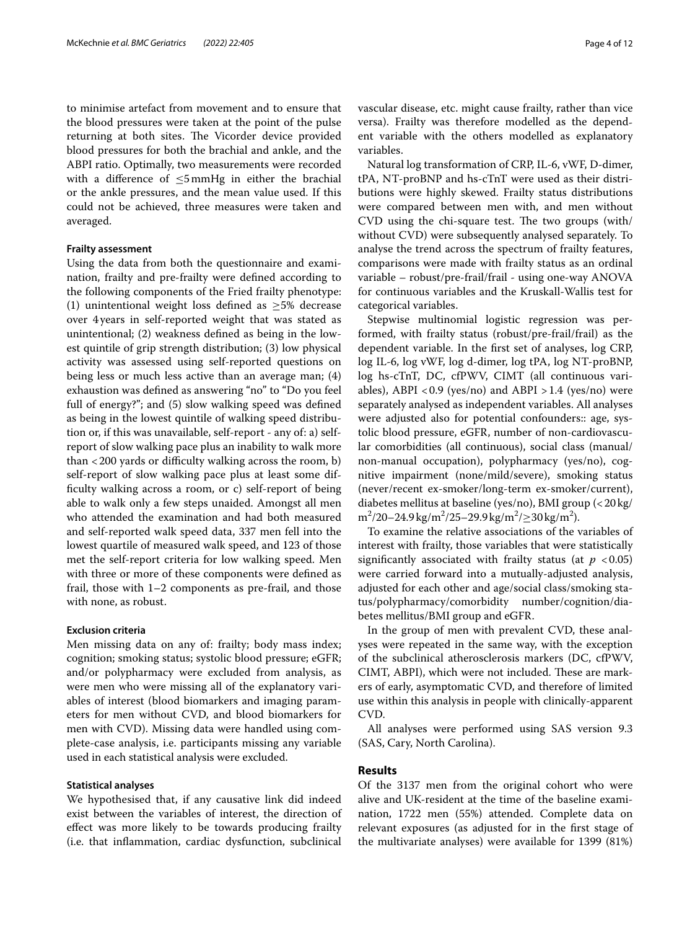to minimise artefact from movement and to ensure that the blood pressures were taken at the point of the pulse returning at both sites. The Vicorder device provided blood pressures for both the brachial and ankle, and the ABPI ratio. Optimally, two measurements were recorded with a difference of  $\leq$ 5mmHg in either the brachial or the ankle pressures, and the mean value used. If this could not be achieved, three measures were taken and averaged.

#### **Frailty assessment**

Using the data from both the questionnaire and examination, frailty and pre-frailty were defned according to the following components of the Fried frailty phenotype: (1) unintentional weight loss defined as  $\geq$ 5% decrease over 4years in self-reported weight that was stated as unintentional; (2) weakness defned as being in the lowest quintile of grip strength distribution; (3) low physical activity was assessed using self-reported questions on being less or much less active than an average man; (4) exhaustion was defned as answering "no" to "Do you feel full of energy?"; and (5) slow walking speed was defned as being in the lowest quintile of walking speed distribution or, if this was unavailable, self-report - any of: a) selfreport of slow walking pace plus an inability to walk more than  $<$  200 yards or difficulty walking across the room, b) self-report of slow walking pace plus at least some diffculty walking across a room, or c) self-report of being able to walk only a few steps unaided. Amongst all men who attended the examination and had both measured and self-reported walk speed data, 337 men fell into the lowest quartile of measured walk speed, and 123 of those met the self-report criteria for low walking speed. Men with three or more of these components were defned as frail, those with 1–2 components as pre-frail, and those with none, as robust.

# **Exclusion criteria**

Men missing data on any of: frailty; body mass index; cognition; smoking status; systolic blood pressure; eGFR; and/or polypharmacy were excluded from analysis, as were men who were missing all of the explanatory variables of interest (blood biomarkers and imaging parameters for men without CVD, and blood biomarkers for men with CVD). Missing data were handled using complete-case analysis, i.e. participants missing any variable used in each statistical analysis were excluded.

#### **Statistical analyses**

We hypothesised that, if any causative link did indeed exist between the variables of interest, the direction of efect was more likely to be towards producing frailty (i.e. that infammation, cardiac dysfunction, subclinical vascular disease, etc. might cause frailty, rather than vice versa). Frailty was therefore modelled as the dependent variable with the others modelled as explanatory variables.

Natural log transformation of CRP, IL-6, vWF, D-dimer, tPA, NT-proBNP and hs-cTnT were used as their distributions were highly skewed. Frailty status distributions were compared between men with, and men without CVD using the chi-square test. The two groups (with/ without CVD) were subsequently analysed separately. To analyse the trend across the spectrum of frailty features, comparisons were made with frailty status as an ordinal variable – robust/pre-frail/frail - using one-way ANOVA for continuous variables and the Kruskall-Wallis test for categorical variables.

Stepwise multinomial logistic regression was performed, with frailty status (robust/pre-frail/frail) as the dependent variable. In the frst set of analyses, log CRP, log IL-6, log vWF, log d-dimer, log tPA, log NT-proBNP, log hs-cTnT, DC, cfPWV, CIMT (all continuous variables), ABPI < $0.9$  (yes/no) and ABPI > 1.4 (yes/no) were separately analysed as independent variables. All analyses were adjusted also for potential confounders:: age, systolic blood pressure, eGFR, number of non-cardiovascular comorbidities (all continuous), social class (manual/ non-manual occupation), polypharmacy (yes/no), cognitive impairment (none/mild/severe), smoking status (never/recent ex-smoker/long-term ex-smoker/current), diabetes mellitus at baseline (yes/no), BMI group (<20kg/  $m^2/20 - 24.9 \text{ kg/m}^2/25 - 29.9 \text{ kg/m}^2/\geq 30 \text{ kg/m}^2$ .

To examine the relative associations of the variables of interest with frailty, those variables that were statistically significantly associated with frailty status (at  $p < 0.05$ ) were carried forward into a mutually-adjusted analysis, adjusted for each other and age/social class/smoking status/polypharmacy/comorbidity number/cognition/diabetes mellitus/BMI group and eGFR.

In the group of men with prevalent CVD, these analyses were repeated in the same way, with the exception of the subclinical atherosclerosis markers (DC, cfPWV, CIMT, ABPI), which were not included. These are markers of early, asymptomatic CVD, and therefore of limited use within this analysis in people with clinically-apparent CVD.

All analyses were performed using SAS version 9.3 (SAS, Cary, North Carolina).

## **Results**

Of the 3137 men from the original cohort who were alive and UK-resident at the time of the baseline examination, 1722 men (55%) attended. Complete data on relevant exposures (as adjusted for in the frst stage of the multivariate analyses) were available for 1399 (81%)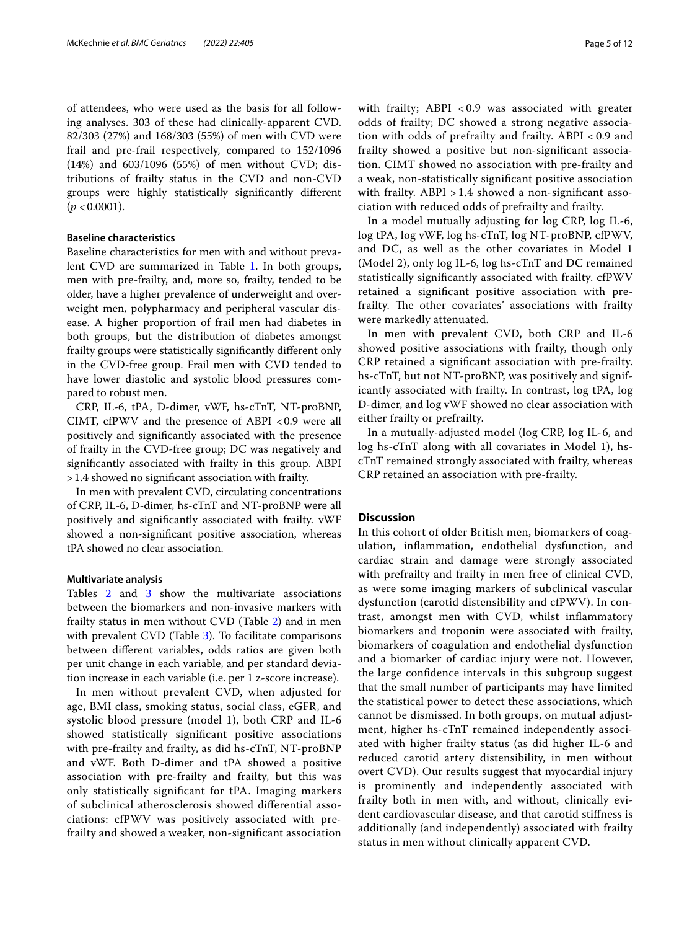of attendees, who were used as the basis for all following analyses. 303 of these had clinically-apparent CVD. 82/303 (27%) and 168/303 (55%) of men with CVD were frail and pre-frail respectively, compared to 152/1096 (14%) and 603/1096 (55%) of men without CVD; distributions of frailty status in the CVD and non-CVD groups were highly statistically signifcantly diferent  $(p < 0.0001)$ .

#### **Baseline characteristics**

Baseline characteristics for men with and without preva-lent CVD are summarized in Table [1](#page-5-0). In both groups, men with pre-frailty, and, more so, frailty, tended to be older, have a higher prevalence of underweight and overweight men, polypharmacy and peripheral vascular disease. A higher proportion of frail men had diabetes in both groups, but the distribution of diabetes amongst frailty groups were statistically signifcantly diferent only in the CVD-free group. Frail men with CVD tended to have lower diastolic and systolic blood pressures compared to robust men.

CRP, IL-6, tPA, D-dimer, vWF, hs-cTnT, NT-proBNP, CIMT, cfPWV and the presence of ABPI <0.9 were all positively and signifcantly associated with the presence of frailty in the CVD-free group; DC was negatively and signifcantly associated with frailty in this group. ABPI >1.4 showed no signifcant association with frailty.

In men with prevalent CVD, circulating concentrations of CRP, IL-6, D-dimer, hs-cTnT and NT-proBNP were all positively and signifcantly associated with frailty. vWF showed a non-signifcant positive association, whereas tPA showed no clear association.

#### **Multivariate analysis**

Tables [2](#page-7-0) and [3](#page-8-0) show the multivariate associations between the biomarkers and non-invasive markers with frailty status in men without CVD (Table [2\)](#page-7-0) and in men with prevalent CVD (Table [3\)](#page-8-0). To facilitate comparisons between diferent variables, odds ratios are given both per unit change in each variable, and per standard deviation increase in each variable (i.e. per 1 z-score increase).

In men without prevalent CVD, when adjusted for age, BMI class, smoking status, social class, eGFR, and systolic blood pressure (model 1), both CRP and IL-6 showed statistically signifcant positive associations with pre-frailty and frailty, as did hs-cTnT, NT-proBNP and vWF. Both D-dimer and tPA showed a positive association with pre-frailty and frailty, but this was only statistically signifcant for tPA. Imaging markers of subclinical atherosclerosis showed diferential associations: cfPWV was positively associated with prefrailty and showed a weaker, non-signifcant association with frailty; ABPI < 0.9 was associated with greater odds of frailty; DC showed a strong negative association with odds of prefrailty and frailty. ABPI < 0.9 and frailty showed a positive but non-signifcant association. CIMT showed no association with pre-frailty and a weak, non-statistically signifcant positive association with frailty. ABPI > 1.4 showed a non-signifcant association with reduced odds of prefrailty and frailty.

In a model mutually adjusting for log CRP, log IL-6, log tPA, log vWF, log hs-cTnT, log NT-proBNP, cfPWV, and DC, as well as the other covariates in Model 1 (Model 2), only log IL-6, log hs-cTnT and DC remained statistically signifcantly associated with frailty. cfPWV retained a signifcant positive association with prefrailty. The other covariates' associations with frailty were markedly attenuated.

In men with prevalent CVD, both CRP and IL-6 showed positive associations with frailty, though only CRP retained a signifcant association with pre-frailty. hs-cTnT, but not NT-proBNP, was positively and significantly associated with frailty. In contrast, log tPA, log D-dimer, and log vWF showed no clear association with either frailty or prefrailty.

In a mutually-adjusted model (log CRP, log IL-6, and log hs-cTnT along with all covariates in Model 1), hscTnT remained strongly associated with frailty, whereas CRP retained an association with pre-frailty.

# **Discussion**

In this cohort of older British men, biomarkers of coagulation, infammation, endothelial dysfunction, and cardiac strain and damage were strongly associated with prefrailty and frailty in men free of clinical CVD, as were some imaging markers of subclinical vascular dysfunction (carotid distensibility and cfPWV). In contrast, amongst men with CVD, whilst infammatory biomarkers and troponin were associated with frailty, biomarkers of coagulation and endothelial dysfunction and a biomarker of cardiac injury were not. However, the large confdence intervals in this subgroup suggest that the small number of participants may have limited the statistical power to detect these associations, which cannot be dismissed. In both groups, on mutual adjustment, higher hs-cTnT remained independently associated with higher frailty status (as did higher IL-6 and reduced carotid artery distensibility, in men without overt CVD). Our results suggest that myocardial injury is prominently and independently associated with frailty both in men with, and without, clinically evident cardiovascular disease, and that carotid stifness is additionally (and independently) associated with frailty status in men without clinically apparent CVD.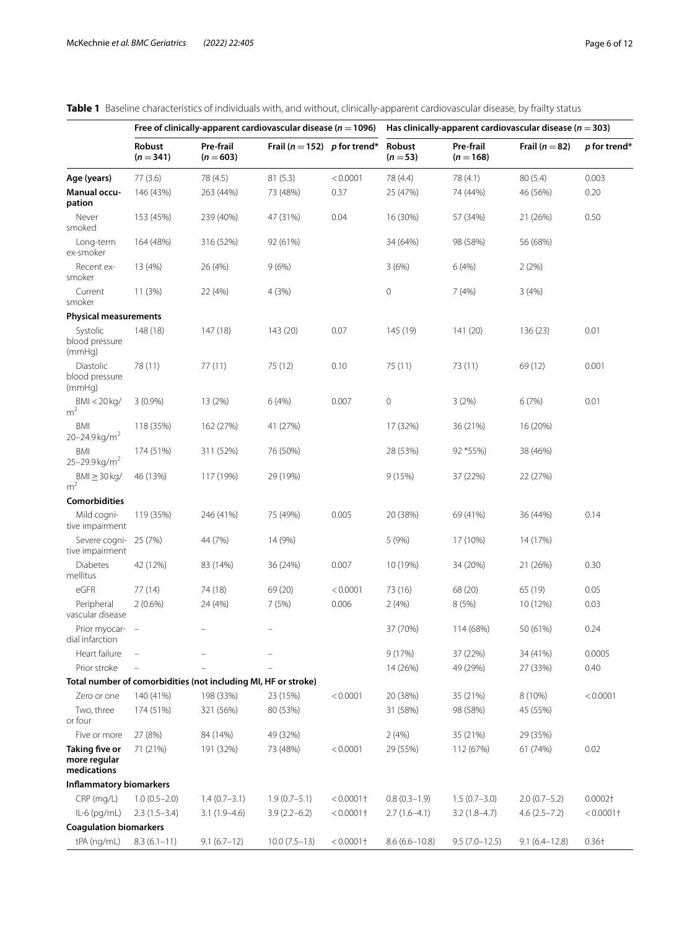|                                                      |                                 |                                                                | Free of clinically-apparent cardiovascular disease ( $n = 1096$ ) |              |                    |                          | Has clinically-apparent cardiovascular disease ( $n = 303$ ) |              |
|------------------------------------------------------|---------------------------------|----------------------------------------------------------------|-------------------------------------------------------------------|--------------|--------------------|--------------------------|--------------------------------------------------------------|--------------|
|                                                      | Robust<br>$(n=341)$             | Pre-frail<br>$(n = 603)$                                       | Frail ( $n = 152$ ) p for trend*                                  |              | Robust<br>$(n=53)$ | Pre-frail<br>$(n = 168)$ | Frail ( $n = 82$ )                                           | p for trend* |
| Age (years)                                          | 77(3.6)                         | 78 (4.5)                                                       | 81(5.3)                                                           | < 0.0001     | 78 (4.4)           | 78 (4.1)                 | 80(5.4)                                                      | 0.003        |
| <b>Manual occu-</b><br>pation                        | 146 (43%)                       | 263 (44%)                                                      | 73 (48%)                                                          | 0.37         | 25 (47%)           | 74 (44%)                 | 46 (56%)                                                     | 0.20         |
| Never<br>smoked                                      | 153 (45%)                       | 239 (40%)                                                      | 47 (31%)                                                          | 0.04         | 16 (30%)           | 57 (34%)                 | 21 (26%)                                                     | 0.50         |
| Long-term<br>ex-smoker                               | 164 (48%)                       | 316 (52%)                                                      | 92 (61%)                                                          |              | 34 (64%)           | 98 (58%)                 | 56 (68%)                                                     |              |
| Recent ex-<br>smoker                                 | 13 (4%)                         | 26 (4%)                                                        | 9(6%)                                                             |              | 3(6%)              | 6(4%)                    | 2(2%)                                                        |              |
| Current<br>smoker                                    | 11 (3%)                         | 22 (4%)                                                        | 4(3%)                                                             |              | $\mathbf 0$        | 7(4%)                    | 3(4%)                                                        |              |
| <b>Physical measurements</b>                         |                                 |                                                                |                                                                   |              |                    |                          |                                                              |              |
| Systolic<br>blood pressure<br>(mmHq)                 | 148 (18)                        | 147 (18)                                                       | 143 (20)                                                          | 0.07         | 145 (19)           | 141 (20)                 | 136 (23)                                                     | 0.01         |
| Diastolic<br>blood pressure<br>(mmHq)                | 78 (11)                         | 77(11)                                                         | 75 (12)                                                           | 0.10         | 75 (11)            | 73 (11)                  | 69 (12)                                                      | 0.001        |
| BMI < 20 kg/<br>m <sup>2</sup>                       | $3(0.9\%)$                      | 13 (2%)                                                        | 6(4%)                                                             | 0.007        | $\mathbf 0$        | 3(2%)                    | 6(7%)                                                        | 0.01         |
| <b>BMI</b><br>20-24.9 kg/m <sup>2</sup>              | 118 (35%)                       | 162 (27%)                                                      | 41 (27%)                                                          |              | 17 (32%)           | 36 (21%)                 | 16 (20%)                                                     |              |
| <b>BMI</b><br>$25 - 29.9$ kg/m <sup>2</sup>          | 174 (51%)                       | 311 (52%)                                                      | 76 (50%)                                                          |              | 28 (53%)           | 92 *55%)                 | 38 (46%)                                                     |              |
| $BMl \geq 30 kg/m^2$                                 | 46 (13%)                        | 117 (19%)                                                      | 29 (19%)                                                          |              | 9(15%)             | 37 (22%)                 | 22 (27%)                                                     |              |
| <b>Comorbidities</b>                                 |                                 |                                                                |                                                                   |              |                    |                          |                                                              |              |
| Mild cogni-<br>tive impairment                       | 119 (35%)                       | 246 (41%)                                                      | 75 (49%)                                                          | 0.005        | 20 (38%)           | 69 (41%)                 | 36 (44%)                                                     | 0.14         |
| Severe cogni-<br>tive impairment                     | 25 (7%)                         | 44 (7%)                                                        | 14 (9%)                                                           |              | 5 (9%)             | 17 (10%)                 | 14 (17%)                                                     |              |
| Diabetes<br>mellitus                                 | 42 (12%)                        | 83 (14%)                                                       | 36 (24%)                                                          | 0.007        | 10 (19%)           | 34 (20%)                 | 21 (26%)                                                     | 0.30         |
| eGFR                                                 | 77 (14)                         | 74 (18)                                                        | 69 (20)                                                           | < 0.0001     | 73 (16)            | 68 (20)                  | 65 (19)                                                      | 0.05         |
| Peripheral<br>vascular disease                       | $2(0.6\%)$                      | 24 (4%)                                                        | 7(5%)                                                             | 0.006        | 2(4%)              | 8(5%)                    | 10 (12%)                                                     | 0.03         |
| Prior myocar-<br>dial infarction                     | $\hspace{0.1mm}-\hspace{0.1mm}$ |                                                                |                                                                   |              | 37 (70%)           | 114 (68%)                | 50 (61%)                                                     | 0.24         |
| Heart failure                                        | ÷                               |                                                                |                                                                   |              | 9 (17%)            | 37 (22%)                 | 34 (41%)                                                     | 0.0005       |
| Prior stroke                                         |                                 |                                                                | ÷                                                                 |              | 14 (26%)           | 49 (29%)                 | 27 (33%)                                                     | 0.40         |
|                                                      |                                 | Total number of comorbidities (not including MI, HF or stroke) |                                                                   |              |                    |                          |                                                              |              |
| Zero or one                                          | 140 (41%)                       | 198 (33%)                                                      | 23 (15%)                                                          | < 0.0001     | 20 (38%)           | 35 (21%)                 | 8 (10%)                                                      | < 0.0001     |
| Two, three<br>or four                                | 174 (51%)                       | 321 (56%)                                                      | 80 (53%)                                                          |              | 31 (58%)           | 98 (58%)                 | 45 (55%)                                                     |              |
| Five or more                                         | 27 (8%)                         | 84 (14%)                                                       | 49 (32%)                                                          |              | 2(4%)              | 35 (21%)                 | 29 (35%)                                                     |              |
| <b>Taking five or</b><br>more regular<br>medications | 71 (21%)                        | 191 (32%)                                                      | 73 (48%)                                                          | < 0.0001     | 29 (55%)           | 112 (67%)                | 61 (74%)                                                     | 0.02         |
| Inflammatory biomarkers                              |                                 |                                                                |                                                                   |              |                    |                          |                                                              |              |
| CRP (mg/L)                                           | $1.0(0.5 - 2.0)$                | $1.4(0.7-3.1)$                                                 | $1.9(0.7-5.1)$                                                    | $< 0.0001$ † | $0.8(0.3-1.9)$     | $1.5(0.7-3.0)$           | $2.0(0.7-5.2)$                                               | $0.0002+$    |
| $IL-6$ (pg/mL)                                       | $2.3(1.5-3.4)$                  | $3.1(1.9-4.6)$                                                 | $3.9(2.2 - 6.2)$                                                  | $< 0.0001$ † | $2.7(1.6-4.1)$     | $3.2(1.8-4.7)$           | $4.6(2.5 - 7.2)$                                             | $< 0.0001$ † |
| <b>Coagulation biomarkers</b>                        |                                 |                                                                |                                                                   |              |                    |                          |                                                              |              |
| tPA (ng/mL)                                          | $8.3(6.1-11)$                   | $9.1(6.7-12)$                                                  | $10.0(7.5-13)$                                                    | $< 0.0001$ † | $8.6(6.6 - 10.8)$  | $9.5(7.0-12.5)$          | $9.1(6.4-12.8)$                                              | $0.36 +$     |

# <span id="page-5-0"></span>**Table 1** Baseline characteristics of individuals with, and without, clinically-apparent cardiovascular disease, by frailty status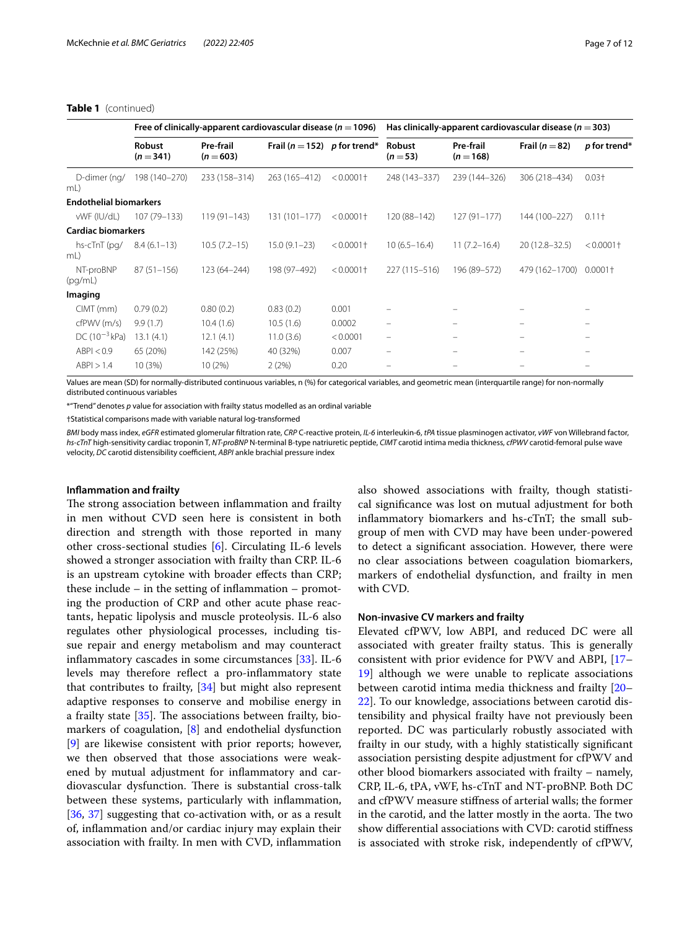## **Table 1** (continued)

|                               |                     | Free of clinically-apparent cardiovascular disease ( $n = 1096$ ) |                                  |              |                                |                          | Has clinically-apparent cardiovascular disease ( $n = 303$ ) |                   |
|-------------------------------|---------------------|-------------------------------------------------------------------|----------------------------------|--------------|--------------------------------|--------------------------|--------------------------------------------------------------|-------------------|
|                               | Robust<br>$(n=341)$ | Pre-frail<br>$(n = 603)$                                          | Frail ( $n = 152$ ) p for trend* |              | Robust<br>$(n=53)$             | Pre-frail<br>$(n = 168)$ | Frail ( $n = 82$ )                                           | p for trend*      |
| D-dimer (ng/<br>mL)           | 198 (140-270)       | 233 (158-314)                                                     | 263 (165-412)                    | $< 0.0001$ + | 248 (143-337)                  | 239 (144-326)            | 306 (218-434)                                                | $0.03 +$          |
| <b>Endothelial biomarkers</b> |                     |                                                                   |                                  |              |                                |                          |                                                              |                   |
| vWF (IU/dL)                   | 107 (79-133)        | $119(91 - 143)$                                                   | 131 (101-177)                    | $< 0.0001$ † | 120 (88-142)                   | $127(91 - 177)$          | 144 (100-227)                                                | 0.11 <sup>†</sup> |
| <b>Cardiac biomarkers</b>     |                     |                                                                   |                                  |              |                                |                          |                                                              |                   |
| hs-cTnT (pg/<br>mL)           | $8.4(6.1-13)$       | $10.5(7.2-15)$                                                    | $15.0(9.1 - 23)$                 | $< 0.0001$ † | $10(6.5 - 16.4)$               | $11(7.2 - 16.4)$         | 20 (12.8-32.5)                                               | $< 0.0001$ †      |
| NT-proBNP<br>(pq/mL)          | $87(51 - 156)$      | 123 (64-244)                                                      | 198 (97-492)                     | $< 0.0001$ + | 227 (115 - 516)                | 196 (89-572)             | 479 (162-1700)                                               | $0.0001\dagger$   |
| Imaging                       |                     |                                                                   |                                  |              |                                |                          |                                                              |                   |
| $CIMT$ (mm)                   | 0.79(0.2)           | 0.80(0.2)                                                         | 0.83(0.2)                        | 0.001        |                                |                          |                                                              |                   |
| cfPWV (m/s)                   | 9.9(1.7)            | 10.4(1.6)                                                         | 10.5(1.6)                        | 0.0002       | $\qquad \qquad \longleftarrow$ | -                        | $\equiv$                                                     |                   |
| $DC(10^{-3}kPa)$              | 13.1(4.1)           | 12.1(4.1)                                                         | 11.0(3.6)                        | < 0.0001     | $\overline{\phantom{m}}$       | -                        |                                                              |                   |
| ABPI < 0.9                    | 65 (20%)            | 142 (25%)                                                         | 40 (32%)                         | 0.007        | -                              | -                        |                                                              |                   |
| ABPI > 1.4                    | 10(3%)              | 10(2%)                                                            | 2(2%)                            | 0.20         | $\qquad \qquad \qquad =$       | $\equiv$                 |                                                              |                   |

Values are mean (SD) for normally-distributed continuous variables, n (%) for categorical variables, and geometric mean (interquartile range) for non-normally distributed continuous variables

\*"Trend" denotes *p* value for association with frailty status modelled as an ordinal variable

†Statistical comparisons made with variable natural log-transformed

*BMI* body mass index, *eGFR* estimated glomerular fltration rate, *CRP* C-reactive protein, *IL-6* interleukin-6, *tPA* tissue plasminogen activator, *vWF* von Willebrand factor, *hs-cTnT* high-sensitivity cardiac troponin T, *NT-proBNP* N-terminal B-type natriuretic peptide, *CIMT* carotid intima media thickness, *cfPWV* carotid-femoral pulse wave velocity, *DC* carotid distensibility coefficient, *ABPI* ankle brachial pressure index

### **Infammation and frailty**

The strong association between inflammation and frailty in men without CVD seen here is consistent in both direction and strength with those reported in many other cross-sectional studies [\[6\]](#page-10-5). Circulating IL-6 levels showed a stronger association with frailty than CRP. IL-6 is an upstream cytokine with broader efects than CRP; these include  $-$  in the setting of inflammation  $-$  promoting the production of CRP and other acute phase reactants, hepatic lipolysis and muscle proteolysis. IL-6 also regulates other physiological processes, including tissue repair and energy metabolism and may counteract infammatory cascades in some circumstances [[33\]](#page-11-17). IL-6 levels may therefore refect a pro-infammatory state that contributes to frailty, [[34\]](#page-11-18) but might also represent adaptive responses to conserve and mobilise energy in a frailty state  $[35]$  $[35]$ . The associations between frailty, biomarkers of coagulation, [\[8](#page-10-7)] and endothelial dysfunction [[9\]](#page-10-8) are likewise consistent with prior reports; however, we then observed that those associations were weakened by mutual adjustment for infammatory and cardiovascular dysfunction. There is substantial cross-talk between these systems, particularly with infammation, [[36,](#page-11-20) [37\]](#page-11-21) suggesting that co-activation with, or as a result of, infammation and/or cardiac injury may explain their association with frailty. In men with CVD, infammation also showed associations with frailty, though statistical signifcance was lost on mutual adjustment for both infammatory biomarkers and hs-cTnT; the small subgroup of men with CVD may have been under-powered to detect a signifcant association. However, there were no clear associations between coagulation biomarkers, markers of endothelial dysfunction, and frailty in men with CVD.

#### **Non‑invasive CV markers and frailty**

Elevated cfPWV, low ABPI, and reduced DC were all associated with greater frailty status. This is generally consistent with prior evidence for PWV and ABPI, [[17–](#page-11-5) [19\]](#page-11-22) although we were unable to replicate associations between carotid intima media thickness and frailty [[20–](#page-11-23) [22\]](#page-11-6). To our knowledge, associations between carotid distensibility and physical frailty have not previously been reported. DC was particularly robustly associated with frailty in our study, with a highly statistically signifcant association persisting despite adjustment for cfPWV and other blood biomarkers associated with frailty – namely, CRP, IL-6, tPA, vWF, hs-cTnT and NT-proBNP. Both DC and cfPWV measure stifness of arterial walls; the former in the carotid, and the latter mostly in the aorta. The two show diferential associations with CVD: carotid stifness is associated with stroke risk, independently of cfPWV,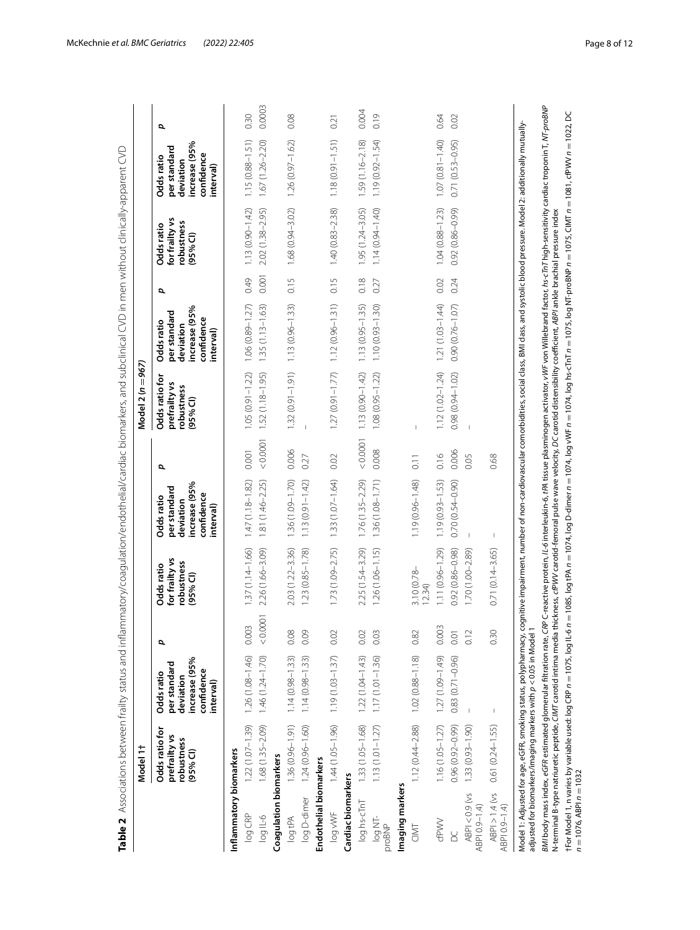<span id="page-7-0"></span>

| ļ                                                     |
|-------------------------------------------------------|
| d<br>í                                                |
| ĺ                                                     |
| ١<br>¢                                                |
| ¢                                                     |
|                                                       |
|                                                       |
| j<br>ì<br>1                                           |
| j<br>Ç                                                |
| į                                                     |
| Ï<br>j                                                |
| í                                                     |
| Ï<br>١                                                |
| $\overline{\phantom{a}}$<br>ļ                         |
| J                                                     |
| $\frac{4}{1}$<br>ś                                    |
| į                                                     |
| į<br>Ö<br>l                                           |
| ś                                                     |
|                                                       |
|                                                       |
| ļ<br>١                                                |
| 5                                                     |
| j<br>J                                                |
|                                                       |
| Ć                                                     |
| Š                                                     |
| Ī<br>Ï                                                |
|                                                       |
| $\overline{\phantom{a}}$<br>֚֬֕                       |
| Ç                                                     |
| 7<br>S                                                |
|                                                       |
| ۶                                                     |
| irc si                                                |
| Í<br>l<br>ļ                                           |
| ÿ<br>٦                                                |
| ֖֖֖֖֪ׅ֪ׅ֪ׅ֖֧ׅ֪ׅ֖֧ׅ֖֧֚֚֚֚֚֚֚֚֚֚֚֚֚֚֚֚֚֚֚֚֚֬֝֝֝֝֝֝<br>d |
| í                                                     |
| I<br>֧֖֖֚֚֚֚֬֝֬                                       |
| $\overline{\phantom{a}}$                              |
|                                                       |
| ì<br>ï<br>l                                           |
| ì<br>l                                                |
| j                                                     |
| í<br>١                                                |
|                                                       |
| $\mathbf{C}$<br>i                                     |
| d                                                     |
|                                                       |
|                                                       |
| Š<br>٢                                                |
| ¢                                                     |
| ΰ<br>Ó                                                |
| I                                                     |
| ā                                                     |
| $\overline{a}$                                        |
| 5<br>$\overline{a}$                                   |
| ֚֬֕                                                   |
| Ì<br>l                                                |
| d<br>֖֖֖֢ׅ֢ׅ֖֖֪ׅ֪ׅ֖֚֚֚֚֚֚֚֚֚֚֚֚֚֚֚֚֚֬֝<br>l<br>I<br>J |
| j                                                     |
| $\ddot{\phantom{0}}$                                  |
| ļ                                                     |
| ļ<br>֧֖֖֚֚֚֚֬֝֬                                       |
| 5<br>ń                                                |
| i                                                     |
|                                                       |
| $\overline{a}$<br>J                                   |
|                                                       |
| $\overline{\phantom{a}}$                              |
| 7<br>S                                                |
| Š                                                     |
| ۶                                                     |
| $\frac{1}{2}$<br>ì                                    |
| j                                                     |
| statl<br>ミッ                                           |
|                                                       |
|                                                       |
| f                                                     |
|                                                       |
|                                                       |
|                                                       |
|                                                       |
|                                                       |
|                                                       |
|                                                       |
|                                                       |
|                                                       |
|                                                       |
|                                                       |
|                                                       |
|                                                       |
|                                                       |
| ١                                                     |
| į                                                     |
|                                                       |
|                                                       |
| I                                                     |
|                                                       |

|                                   | Model 1t                                                                                                                                |                                                                                     |          |                                                                                                                                                                                                                                                                                                                                                                                                                                     |                                                                                     |                   | Model 2 (n = 967)                                                    |                                                                                    |       |                                                          |                                                                                     |        |
|-----------------------------------|-----------------------------------------------------------------------------------------------------------------------------------------|-------------------------------------------------------------------------------------|----------|-------------------------------------------------------------------------------------------------------------------------------------------------------------------------------------------------------------------------------------------------------------------------------------------------------------------------------------------------------------------------------------------------------------------------------------|-------------------------------------------------------------------------------------|-------------------|----------------------------------------------------------------------|------------------------------------------------------------------------------------|-------|----------------------------------------------------------|-------------------------------------------------------------------------------------|--------|
|                                   | Odds ratio for<br>prefrailty vs<br>robustness<br>(95% <sub>0</sub> )                                                                    | increase (95%<br>per standard<br>confidence<br>Odds ratio<br>deviation<br>interval) | Ø,       | for frailty vs<br>robustness<br>Odds ratio<br>(95% <sup>°</sup> )                                                                                                                                                                                                                                                                                                                                                                   | increase (95%<br>per standard<br>confidence<br>Odds ratio<br>deviation<br>interval) | đ                 | Odds ratio for<br>prefrailty vs<br>robustness<br>(95% <sup>°</sup> ) | increase (95%<br>per standard<br>confidence<br>Odds ratio<br>deviation<br>nterval) | p     | for frailty vs<br>robustness<br>Odds ratio<br>$(95%$ CI) | increase (95%<br>per standard<br>confidence<br>Odds ratio<br>deviation<br>interval) | σ      |
| nflammatory biomarkers            |                                                                                                                                         |                                                                                     |          |                                                                                                                                                                                                                                                                                                                                                                                                                                     |                                                                                     |                   |                                                                      |                                                                                    |       |                                                          |                                                                                     |        |
| log CRP                           | $1.22(1.07 - 1.39)$                                                                                                                     | $1.26(1.08 - 1.46)$                                                                 | 0.003    | $1.37(1.14 - 1.66)$                                                                                                                                                                                                                                                                                                                                                                                                                 | $1.47(1.18 - 1.82)$                                                                 | 0.001             | $1.05(0.91 - 1.22)$                                                  | $1.06(0.89 - 1.27)$                                                                | 0.49  | $1.13(0.90 - 1.42)$                                      | $1.15(0.88 - 1.51)$                                                                 | 0.30   |
| log IL-6                          | 1.68 (1.35-2.09)                                                                                                                        | $1.46(1.24 - 1.70)$                                                                 | < 0.0001 | 2.26 (1.66-3.09)                                                                                                                                                                                                                                                                                                                                                                                                                    | $1.81(1.46 - 2.25)$                                                                 | 0.0001            | $1.52(1.18 - 1.95)$                                                  | $1.35(1.13 - 1.63)$                                                                | 0.001 | 2.02 (1.38-2.95)                                         | $1.67(1.26 - 2.20)$                                                                 | 0.0003 |
| Coagulation biomarkers            |                                                                                                                                         |                                                                                     |          |                                                                                                                                                                                                                                                                                                                                                                                                                                     |                                                                                     |                   |                                                                      |                                                                                    |       |                                                          |                                                                                     |        |
| log tPA                           | $1.36(0.96 - 1.91)$                                                                                                                     | $1.14(0.98 - 1.33)$                                                                 | 0.08     | $2.03(1.22 - 3.36)$                                                                                                                                                                                                                                                                                                                                                                                                                 | 1.36 (1.09-1.70)                                                                    | 0.006             | $1.32(0.91 - 1.91)$                                                  | $1.13(0.96 - 1.33)$                                                                | 0.15  | 1.68 (0.94-3.02)                                         | $1.26(0.97 - 1.62)$                                                                 | 0.08   |
| log D-dimer                       | $1.24(0.96 - 1.60)$                                                                                                                     | $1.14(0.98 - 1.33)$                                                                 | 0.09     | $1.23(0.85 - 1.78)$                                                                                                                                                                                                                                                                                                                                                                                                                 | $1.13(0.91 - 1.42)$                                                                 | 0.27              |                                                                      |                                                                                    |       |                                                          |                                                                                     |        |
| Endothelial biomarkers            |                                                                                                                                         |                                                                                     |          |                                                                                                                                                                                                                                                                                                                                                                                                                                     |                                                                                     |                   |                                                                      |                                                                                    |       |                                                          |                                                                                     |        |
| log vWF                           | $1.44(1.05 - 1.96)$                                                                                                                     | $1.19(1.03 - 1.37)$                                                                 | 0.02     | $1.73(1.09 - 2.75)$                                                                                                                                                                                                                                                                                                                                                                                                                 | $1.33(1.07 - 1.64)$                                                                 | 0.02              | $1.27(0.91 - 1.77)$                                                  | $1.12(0.96 - 1.31)$                                                                | 0.15  | $1.40(0.83 - 2.38)$                                      | $1.18(0.91 - 1.51)$                                                                 | 0.21   |
| Cardiac biomarkers                |                                                                                                                                         |                                                                                     |          |                                                                                                                                                                                                                                                                                                                                                                                                                                     |                                                                                     |                   |                                                                      |                                                                                    |       |                                                          |                                                                                     |        |
| log hs-cTnT                       | 1.33 (1.05-1.68)                                                                                                                        | $1.22(1.04 - 1.43)$                                                                 | 0.02     | 2.25 (1.54-3.29)                                                                                                                                                                                                                                                                                                                                                                                                                    | $1.76(1.35 - 2.29)$                                                                 | < 0.0001          | $1.13(0.90 - 1.42)$                                                  | $1.13(0.95 - 1.35)$                                                                | 0.18  | 1.95 (1.24-3.05)                                         | $1.59(1.16 - 2.18)$                                                                 | 0.004  |
| log NT-<br>proBNP                 | $1.13(1.01 - 1.27)$                                                                                                                     | $1.17(1.01 - 1.36)$                                                                 | 0.03     | $1.26(1.06 - 1.15)$                                                                                                                                                                                                                                                                                                                                                                                                                 | $1.36(1.08 - 1.71)$                                                                 | 0.008             | $1.08(0.95 - 1.22)$                                                  | $1.10(0.93 - 1.30)$                                                                | 0.27  | $1.14(0.94 - 1.40)$                                      | $1.19(0.92 - 1.54)$                                                                 | 0.19   |
| Imaging markers                   |                                                                                                                                         |                                                                                     |          |                                                                                                                                                                                                                                                                                                                                                                                                                                     |                                                                                     |                   |                                                                      |                                                                                    |       |                                                          |                                                                                     |        |
| CIMT                              | $1.12(0.44 - 2.88)$                                                                                                                     | $1.02(0.88 - 1.18)$                                                                 | 0.82     | $3.10(0.78 -$<br>12.34                                                                                                                                                                                                                                                                                                                                                                                                              | $1.19(0.96 - 1.48)$                                                                 | $\overline{0.11}$ | $\overline{1}$                                                       |                                                                                    |       |                                                          |                                                                                     |        |
| cfPWV                             | $1.16(1.05 - 1.27)$                                                                                                                     | $1.27(1.09 - 1.49)$                                                                 | 0.003    | 1.11 (0.96-1.29)                                                                                                                                                                                                                                                                                                                                                                                                                    | $1.19(0.93 - 1.53)$                                                                 | 0.16              | $1.12(1.02 - 1.24)$                                                  | $1.21(1.03 - 1.44)$                                                                | 0.02  | $1.04(0.88 - 1.23)$                                      | $1.07(0.81 - 1.40)$                                                                 | 0.64   |
| ă                                 | $0.96(0.92 - 0.99)$                                                                                                                     | $0.83(0.71 - 0.96)$                                                                 | 0.01     | $0.92(0.86 - 0.98)$                                                                                                                                                                                                                                                                                                                                                                                                                 | $0.70(0.54 - 0.90)$                                                                 | 0.006             | $0.98(0.94 - 1.02)$                                                  | $0.90(0.76 - 1.07)$                                                                | 0.24  | 0.92 (0.86-0.99)                                         | $0.71(0.53 - 0.95)$                                                                 | 0.02   |
| $ABPI < 0.9$ (vs<br>ABPI 0.9-1.4) | $1.33(0.93 - 1.90)$                                                                                                                     |                                                                                     | 0.12     | 1.70 (1.00-2.89)                                                                                                                                                                                                                                                                                                                                                                                                                    |                                                                                     | 0.05              |                                                                      |                                                                                    |       |                                                          |                                                                                     |        |
| $ABPI > 1.4$ (vs<br>(BPI 0.9-1.4) | $0.61(0.24 - 1.55)$                                                                                                                     |                                                                                     | 0.30     | $0.71(0.14 - 3.65)$                                                                                                                                                                                                                                                                                                                                                                                                                 |                                                                                     | 0.68              |                                                                      |                                                                                    |       |                                                          |                                                                                     |        |
|                                   | Model 1: Adjusted for age, eGFR, smoking status, polypharmacy, co<br>adjusted for biomarkers/imaging markers with $p < 0.05$ in Model 1 |                                                                                     |          | ognitive impairment, number of non-cardiovascular comorbidities, social class, BMI class, and systolic blood pressure. Model 2: additionally mutually-                                                                                                                                                                                                                                                                              |                                                                                     |                   |                                                                      |                                                                                    |       |                                                          |                                                                                     |        |
|                                   |                                                                                                                                         |                                                                                     |          | BMI body mass index, eGFR estimated glomerular filtration rate, CRP C-reactive protein, /L-6 interleukin-6, tPA tissue plasminogen activator, WIF von Willebrand factor, hs-cTnT high-sensitivity cardiac troponin T, NT-proBN<br>N-terminal B-type natriuretic peptide, CIMT carotid intima media thickness, cfPWV carotid-fernoral pulse wave velocity, DC carotid distensibility coefficient, ABPI ankle brachial pressure index |                                                                                     |                   |                                                                      |                                                                                    |       |                                                          |                                                                                     |        |
| $n = 1076$ . ABPI $n = 1032$      |                                                                                                                                         |                                                                                     |          | ffor Model 1, n varies by variable used: log cRP n = 1075, log lL-6 n = 1085, log tPA n = 1074, log D-dimer n = 1074, log DVF n = 1074, log hs-CTnT n = 1075, log NT-proBNP n = 1075, CIMT n = 1082, DC                                                                                                                                                                                                                             |                                                                                     |                   |                                                                      |                                                                                    |       |                                                          |                                                                                     |        |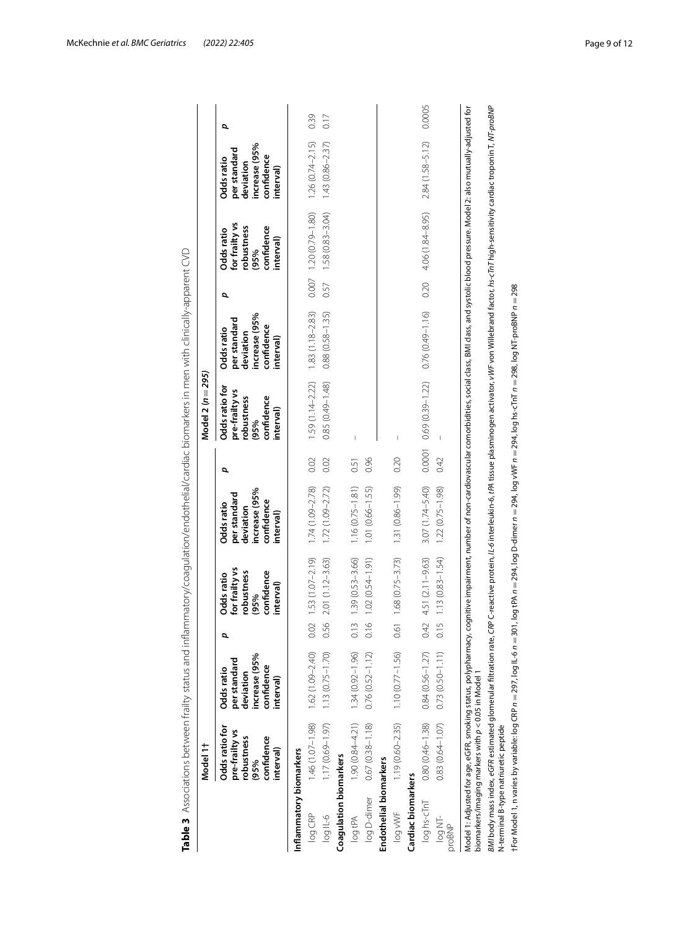|                         | Model 1t                                                                          |                                                                                     |                                  |                                                                               |                                                                                                                                                                                                                                |      | Model 2 (n = 295)                                                                 |                                                                                     |      |                                                                               |                                                                                     |        |
|-------------------------|-----------------------------------------------------------------------------------|-------------------------------------------------------------------------------------|----------------------------------|-------------------------------------------------------------------------------|--------------------------------------------------------------------------------------------------------------------------------------------------------------------------------------------------------------------------------|------|-----------------------------------------------------------------------------------|-------------------------------------------------------------------------------------|------|-------------------------------------------------------------------------------|-------------------------------------------------------------------------------------|--------|
|                         | Odds ratio for<br>pre-frailty vs<br>confidence<br>robustness<br>interval)<br>(95% | increase (95%<br>per standard<br>confidence<br>Odds ratio<br>deviation<br>interval) | p                                | for frailty vs<br>robustness<br>confidence<br>Odds ratio<br>interval)<br>(95% | increase (95%<br>per standard<br>confidence<br>Odds ratio<br>deviation<br>interval)                                                                                                                                            | đ    | Odds ratio for<br>pre-frailty vs<br>robustness<br>confidence<br>interval)<br>(95% | increase (95%<br>per standard<br>confidence<br>Odds ratio<br>deviation<br>interval) | p    | for frailty vs<br>robustness<br>confidence<br>Odds ratio<br>interval)<br>(95% | increase (95%<br>per standard<br>confidence<br>Odds ratio<br>deviation<br>interval) | đ      |
| Inflammatory biomarkers |                                                                                   |                                                                                     |                                  |                                                                               |                                                                                                                                                                                                                                |      |                                                                                   |                                                                                     |      |                                                                               |                                                                                     |        |
| log CRP                 | $1.46(1.07 - 1.98)$                                                               | $1.62(1.09 - 2.40)$                                                                 |                                  | $0.02$ 1.53 $(1.07 - 2.19)$                                                   | $1.74(1.09 - 2.78)$                                                                                                                                                                                                            | 0.02 | $1.59(1.14 - 2.22)$                                                               | $1.83(1.18 - 2.83)$                                                                 |      | $0.007$ 1.20 $(0.79 - 1.80)$                                                  | $1.26(0.74 - 2.15)$                                                                 | 0.39   |
| log IL-6                | $1.17(0.69 - 1.97)$                                                               | $1.13(0.75 - 1.70)$                                                                 | 0.56                             | $2.01(1.12 - 3.63)$                                                           | $1.72(1.09 - 2.72)$                                                                                                                                                                                                            | 0.02 | 0.85 (0.49-1.48)                                                                  | $0.88(0.58 - 1.35)$                                                                 |      | $0.57$ 1.58 $(0.83 - 3.04)$                                                   | $1.43(0.86 - 2.37)$                                                                 | 0.17   |
| Coagulation biomarkers  |                                                                                   |                                                                                     |                                  |                                                                               |                                                                                                                                                                                                                                |      |                                                                                   |                                                                                     |      |                                                                               |                                                                                     |        |
| log tPA                 | $1.90(0.84 - 4.21)$                                                               | $1.34(0.92 - 1.96)$                                                                 | 0.13                             | $1.39(0.53 - 3.66)$                                                           | $1.16(0.75 - 1.81)$                                                                                                                                                                                                            | 0.51 |                                                                                   |                                                                                     |      |                                                                               |                                                                                     |        |
|                         | log D-dimer 0.67 (0.38-1.18)                                                      | $0.76(0.52 - 1.12)$                                                                 | $\circ$<br>$\overline{C}$        | $1.02(0.54 - 1.91)$                                                           | $1.01(0.66 - 1.55)$                                                                                                                                                                                                            | 0.96 |                                                                                   |                                                                                     |      |                                                                               |                                                                                     |        |
| Endothelial biomarkers  |                                                                                   |                                                                                     |                                  |                                                                               |                                                                                                                                                                                                                                |      |                                                                                   |                                                                                     |      |                                                                               |                                                                                     |        |
| log vWF                 |                                                                                   | $1.19(0.60-2.35)$ $1.10(0.77-1.56)$                                                 |                                  | $0.61$ $1.68$ $(0.75-3.73)$                                                   | 1.31 (0.86-1.99)                                                                                                                                                                                                               | 0.20 |                                                                                   |                                                                                     |      |                                                                               |                                                                                     |        |
| Cardiac biomarkers      |                                                                                   |                                                                                     |                                  |                                                                               |                                                                                                                                                                                                                                |      |                                                                                   |                                                                                     |      |                                                                               |                                                                                     |        |
| log hs-cTnT             | $0.80(0.46 - 1.38)$                                                               | $0.84(0.56 - 1.27)$                                                                 |                                  | $0.42$ 4.51 (2.11-9.63)                                                       | $3.07(1.74 - 5.40)$                                                                                                                                                                                                            |      | $0.0001$ $0.69(0.39-1.22)$                                                        | $0.76(0.49 - 1.16)$                                                                 | 0.20 | 4.06 (1.84-8.95)                                                              | $2.84(1.58 - 5.12)$                                                                 | 0.0005 |
| log NT-<br>proBNP       | $0.83(0.64 - 1.07)$                                                               | $0.73(0.50 - 1.11)$                                                                 | $\sqrt{2}$<br>$\overline{\circ}$ | $1.13(0.83 - 1.54)$                                                           | $1.22(0.75 - 1.98)$                                                                                                                                                                                                            | 0.42 |                                                                                   |                                                                                     |      |                                                                               |                                                                                     |        |
|                         | biomarkers/imaging markers with $p < 0.05$ in Model 1                             |                                                                                     |                                  |                                                                               | Model 1: Adjusted for age, eGFR, smoking status, polypharma. status, polypharmant, number of non-cardiovalar comorbidities, social class, BMI class, and systolic blood pressure. Model 2: also mutually-adjusted for          |      |                                                                                   |                                                                                     |      |                                                                               |                                                                                     |        |
|                         | N-terminal B-type natriuretic peptide                                             |                                                                                     |                                  |                                                                               | BMI body mass index, eGFR estimated glomerular filtration rate, CRP C-reactive protein, IL-6 interleukin-6, tPA tissue plasminogen activator, vVIF von Willebrand factor, bs-cTnT high-sensitivity cardiac troponin T, NT-proB |      |                                                                                   |                                                                                     |      |                                                                               |                                                                                     |        |
|                         |                                                                                   |                                                                                     |                                  |                                                                               | ffor Model 1, n varies by variable: log CRP $n=297$ , log IL-6 $n=290$ , log tPA $n=294$ , log O-dimer $n=294$ , log WF $n=294$ , log Ns-CTnT $n=298$ , log NT-proBNP $n=298$                                                  |      |                                                                                   |                                                                                     |      |                                                                               |                                                                                     |        |

<span id="page-8-0"></span>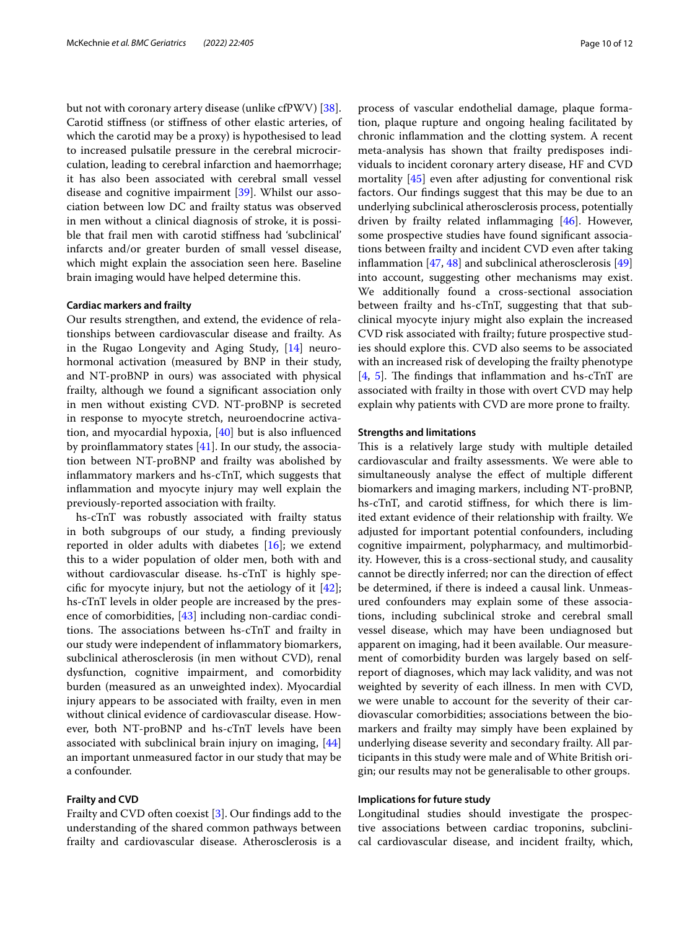but not with coronary artery disease (unlike cfPWV) [\[38](#page-11-24)]. Carotid stifness (or stifness of other elastic arteries, of which the carotid may be a proxy) is hypothesised to lead to increased pulsatile pressure in the cerebral microcirculation, leading to cerebral infarction and haemorrhage; it has also been associated with cerebral small vessel disease and cognitive impairment [[39\]](#page-11-25). Whilst our association between low DC and frailty status was observed in men without a clinical diagnosis of stroke, it is possible that frail men with carotid stifness had 'subclinical' infarcts and/or greater burden of small vessel disease, which might explain the association seen here. Baseline brain imaging would have helped determine this.

### **Cardiac markers and frailty**

Our results strengthen, and extend, the evidence of relationships between cardiovascular disease and frailty. As in the Rugao Longevity and Aging Study, [\[14\]](#page-11-2) neurohormonal activation (measured by BNP in their study, and NT-proBNP in ours) was associated with physical frailty, although we found a signifcant association only in men without existing CVD. NT-proBNP is secreted in response to myocyte stretch, neuroendocrine activation, and myocardial hypoxia, [\[40\]](#page-11-26) but is also infuenced by proinfammatory states [\[41\]](#page-11-27). In our study, the association between NT-proBNP and frailty was abolished by infammatory markers and hs-cTnT, which suggests that infammation and myocyte injury may well explain the previously-reported association with frailty.

hs-cTnT was robustly associated with frailty status in both subgroups of our study, a fnding previously reported in older adults with diabetes [[16\]](#page-11-4); we extend this to a wider population of older men, both with and without cardiovascular disease. hs-cTnT is highly specific for myocyte injury, but not the aetiology of it  $[42]$  $[42]$ ; hs-cTnT levels in older people are increased by the presence of comorbidities, [[43](#page-11-29)] including non-cardiac conditions. The associations between  $hs\text{-}cTnT$  and frailty in our study were independent of infammatory biomarkers, subclinical atherosclerosis (in men without CVD), renal dysfunction, cognitive impairment, and comorbidity burden (measured as an unweighted index). Myocardial injury appears to be associated with frailty, even in men without clinical evidence of cardiovascular disease. However, both NT-proBNP and hs-cTnT levels have been associated with subclinical brain injury on imaging, [[44](#page-11-30)] an important unmeasured factor in our study that may be a confounder.

#### **Frailty and CVD**

Frailty and CVD often coexist [\[3](#page-10-2)]. Our fndings add to the understanding of the shared common pathways between frailty and cardiovascular disease. Atherosclerosis is a process of vascular endothelial damage, plaque formation, plaque rupture and ongoing healing facilitated by chronic infammation and the clotting system. A recent meta-analysis has shown that frailty predisposes individuals to incident coronary artery disease, HF and CVD mortality [\[45](#page-11-31)] even after adjusting for conventional risk factors. Our fndings suggest that this may be due to an underlying subclinical atherosclerosis process, potentially driven by frailty related infammaging [\[46](#page-11-32)]. However, some prospective studies have found signifcant associations between frailty and incident CVD even after taking infammation [[47](#page-11-33), [48\]](#page-11-34) and subclinical atherosclerosis [[49](#page-11-35)] into account, suggesting other mechanisms may exist. We additionally found a cross-sectional association between frailty and hs-cTnT, suggesting that that subclinical myocyte injury might also explain the increased CVD risk associated with frailty; future prospective studies should explore this. CVD also seems to be associated with an increased risk of developing the frailty phenotype [[4,](#page-10-3) [5\]](#page-10-4). The findings that inflammation and hs- $cTnT$  are associated with frailty in those with overt CVD may help explain why patients with CVD are more prone to frailty.

#### **Strengths and limitations**

This is a relatively large study with multiple detailed cardiovascular and frailty assessments. We were able to simultaneously analyse the efect of multiple diferent biomarkers and imaging markers, including NT-proBNP, hs-cTnT, and carotid stifness, for which there is limited extant evidence of their relationship with frailty. We adjusted for important potential confounders, including cognitive impairment, polypharmacy, and multimorbidity. However, this is a cross-sectional study, and causality cannot be directly inferred; nor can the direction of efect be determined, if there is indeed a causal link. Unmeasured confounders may explain some of these associations, including subclinical stroke and cerebral small vessel disease, which may have been undiagnosed but apparent on imaging, had it been available. Our measurement of comorbidity burden was largely based on selfreport of diagnoses, which may lack validity, and was not weighted by severity of each illness. In men with CVD, we were unable to account for the severity of their cardiovascular comorbidities; associations between the biomarkers and frailty may simply have been explained by underlying disease severity and secondary frailty. All participants in this study were male and of White British origin; our results may not be generalisable to other groups.

## **Implications for future study**

Longitudinal studies should investigate the prospective associations between cardiac troponins, subclinical cardiovascular disease, and incident frailty, which,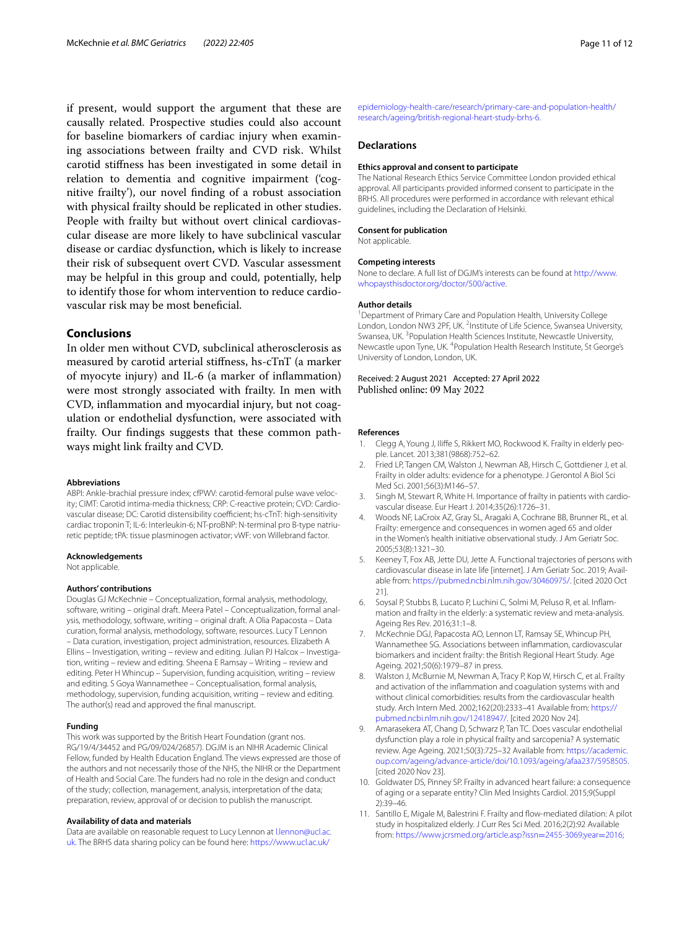if present, would support the argument that these are causally related. Prospective studies could also account for baseline biomarkers of cardiac injury when examining associations between frailty and CVD risk. Whilst carotid stifness has been investigated in some detail in relation to dementia and cognitive impairment ('cognitive frailty'), our novel fnding of a robust association with physical frailty should be replicated in other studies. People with frailty but without overt clinical cardiovascular disease are more likely to have subclinical vascular disease or cardiac dysfunction, which is likely to increase their risk of subsequent overt CVD. Vascular assessment may be helpful in this group and could, potentially, help to identify those for whom intervention to reduce cardiovascular risk may be most benefcial.

# **Conclusions**

In older men without CVD, subclinical atherosclerosis as measured by carotid arterial stifness, hs-cTnT (a marker of myocyte injury) and IL-6 (a marker of infammation) were most strongly associated with frailty. In men with CVD, infammation and myocardial injury, but not coagulation or endothelial dysfunction, were associated with frailty. Our fndings suggests that these common pathways might link frailty and CVD.

#### **Abbreviations**

ABPI: Ankle-brachial pressure index; cfPWV: carotid-femoral pulse wave velocity; CIMT: Carotid intima-media thickness; CRP: C-reactive protein; CVD: Cardiovascular disease; DC: Carotid distensibility coefficient; hs-cTnT: high-sensitivity cardiac troponin T; IL-6: Interleukin-6; NT-proBNP: N-terminal pro B-type natriuretic peptide; tPA: tissue plasminogen activator; vWF: von Willebrand factor.

#### **Acknowledgements**

Not applicable.

#### **Authors' contributions**

Douglas GJ McKechnie – Conceptualization, formal analysis, methodology, software, writing – original draft. Meera Patel – Conceptualization, formal analysis, methodology, software, writing – original draft. A Olia Papacosta – Data curation, formal analysis, methodology, software, resources. Lucy T Lennon – Data curation, investigation, project administration, resources. Elizabeth A Ellins – Investigation, writing – review and editing. Julian PJ Halcox – Investigation, writing – review and editing. Sheena E Ramsay – Writing – review and editing. Peter H Whincup – Supervision, funding acquisition, writing – review and editing. S Goya Wannamethee – Conceptualisation, formal analysis, methodology, supervision, funding acquisition, writing – review and editing. The author(s) read and approved the fnal manuscript.

#### **Funding**

This work was supported by the British Heart Foundation (grant nos. RG/19/4/34452 and PG/09/024/26857). DGJM is an NIHR Academic Clinical Fellow, funded by Health Education England. The views expressed are those of the authors and not necessarily those of the NHS, the NIHR or the Department of Health and Social Care. The funders had no role in the design and conduct of the study; collection, management, analysis, interpretation of the data; preparation, review, approval of or decision to publish the manuscript.

#### **Availability of data and materials**

Data are available on reasonable request to Lucy Lennon at [l.lennon@ucl.ac.](l.lennon@ucl.ac.uk) [uk.](l.lennon@ucl.ac.uk) The BRHS data sharing policy can be found here: [https://www.ucl.ac.uk/](https://www.ucl.ac.uk/epidemiology-health-care/research/primary-care-and-population-health/research/ageing/british-regional-heart-study-brhs-6)

[epidemiology-health-care/research/primary-care-and-population-health/](https://www.ucl.ac.uk/epidemiology-health-care/research/primary-care-and-population-health/research/ageing/british-regional-heart-study-brhs-6) [research/ageing/british-regional-heart-study-brhs-6](https://www.ucl.ac.uk/epidemiology-health-care/research/primary-care-and-population-health/research/ageing/british-regional-heart-study-brhs-6).

#### **Declarations**

#### **Ethics approval and consent to participate**

The National Research Ethics Service Committee London provided ethical approval. All participants provided informed consent to participate in the BRHS. All procedures were performed in accordance with relevant ethical guidelines, including the Declaration of Helsinki.

#### **Consent for publication**

Not applicable.

#### **Competing interests**

None to declare. A full list of DGJM's interests can be found at [http://www.](http://www.whopaysthisdoctor.org/doctor/500/active) [whopaysthisdoctor.org/doctor/500/active](http://www.whopaysthisdoctor.org/doctor/500/active).

#### **Author details**

<sup>1</sup> Department of Primary Care and Population Health, University College London, London NW3 2PF, UK. <sup>2</sup>Institute of Life Science, Swansea University, Swansea, UK.<sup>3</sup> Population Health Sciences Institute, Newcastle University, Newcastle upon Tyne, UK. <sup>4</sup> Population Health Research Institute, St George's University of London, London, UK.

Received: 2 August 2021 Accepted: 27 April 2022 Published online: 09 May 2022

#### **References**

- <span id="page-10-0"></span>1. Clegg A, Young J, Ilife S, Rikkert MO, Rockwood K. Frailty in elderly people. Lancet. 2013;381(9868):752–62.
- <span id="page-10-1"></span>2. Fried LP, Tangen CM, Walston J, Newman AB, Hirsch C, Gottdiener J, et al. Frailty in older adults: evidence for a phenotype. J Gerontol A Biol Sci Med Sci. 2001;56(3):M146–57.
- <span id="page-10-2"></span>3. Singh M, Stewart R, White H. Importance of frailty in patients with cardiovascular disease. Eur Heart J. 2014;35(26):1726–31.
- <span id="page-10-3"></span>4. Woods NF, LaCroix AZ, Gray SL, Aragaki A, Cochrane BB, Brunner RL, et al. Frailty: emergence and consequences in women aged 65 and older in the Women's health initiative observational study. J Am Geriatr Soc. 2005;53(8):1321–30.
- <span id="page-10-4"></span>5. Keeney T, Fox AB, Jette DU, Jette A. Functional trajectories of persons with cardiovascular disease in late life [internet]. J Am Geriatr Soc. 2019; Available from:<https://pubmed.ncbi.nlm.nih.gov/30460975/>. [cited 2020 Oct 21].
- <span id="page-10-5"></span>6. Soysal P, Stubbs B, Lucato P, Luchini C, Solmi M, Peluso R, et al. Infammation and frailty in the elderly: a systematic review and meta-analysis. Ageing Res Rev. 2016;31:1–8.
- <span id="page-10-6"></span>7. McKechnie DGJ, Papacosta AO, Lennon LT, Ramsay SE, Whincup PH, Wannamethee SG. Associations between infammation, cardiovascular biomarkers and incident frailty: the British Regional Heart Study. Age Ageing. 2021;50(6):1979–87 in press.
- <span id="page-10-7"></span>8. Walston J, McBurnie M, Newman A, Tracy P, Kop W, Hirsch C, et al. Frailty and activation of the infammation and coagulation systems with and without clinical comorbidities: results from the cardiovascular health study. Arch Intern Med. 2002;162(20):2333–41 Available from: [https://](https://pubmed.ncbi.nlm.nih.gov/12418947/) [pubmed.ncbi.nlm.nih.gov/12418947/](https://pubmed.ncbi.nlm.nih.gov/12418947/). [cited 2020 Nov 24].
- <span id="page-10-8"></span>9. Amarasekera AT, Chang D, Schwarz P, Tan TC. Does vascular endothelial dysfunction play a role in physical frailty and sarcopenia? A systematic review. Age Ageing. 2021;50(3):725–32 Available from: [https://academic.](http://dx.doi.org/10.1093/ageing/afaa237/5958505) [oup.com/ageing/advance-article/doi/10.1093/ageing/afaa237/5958505](http://dx.doi.org/10.1093/ageing/afaa237/5958505). [cited 2020 Nov 23].
- <span id="page-10-9"></span>10. Goldwater DS, Pinney SP. Frailty in advanced heart failure: a consequence of aging or a separate entity? Clin Med Insights Cardiol. 2015;9(Suppl 2):39–46.
- <span id="page-10-10"></span>11. Santillo E, Migale M, Balestrini F. Frailty and fow-mediated dilation: A pilot study in hospitalized elderly. J Curr Res Sci Med. 2016;2(2):92 Available from: [https://www.jcrsmed.org/article.asp?issn](https://www.jcrsmed.org/article.asp?issn=2455-3069;year=2016;volume=2;issue=2;spage=92;epage=97;aulast=Santillo)=2455-3069;year=2016;